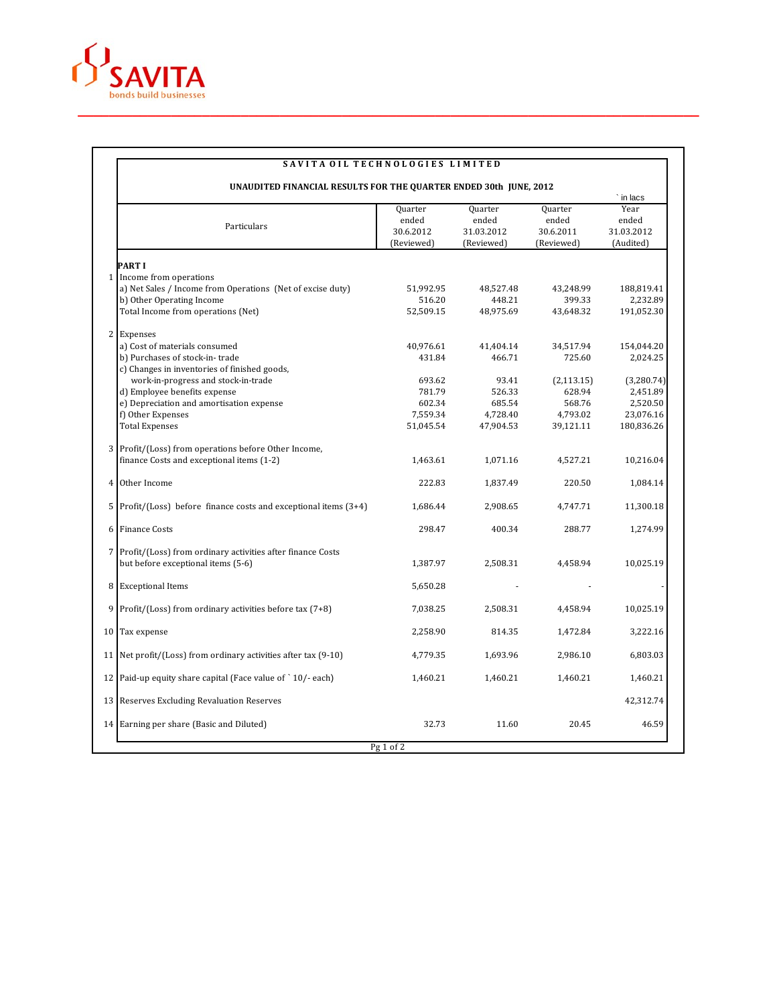

| UNAUDITED FINANCIAL RESULTS FOR THE QUARTER ENDED 30th JUNE, 2012                                                   |                                             | ` in lacs                                           |                                             |                                          |
|---------------------------------------------------------------------------------------------------------------------|---------------------------------------------|-----------------------------------------------------|---------------------------------------------|------------------------------------------|
| Particulars                                                                                                         | Quarter<br>ended<br>30.6.2012<br>(Reviewed) | <b>Quarter</b><br>ended<br>31.03.2012<br>(Reviewed) | Quarter<br>ended<br>30.6.2011<br>(Reviewed) | Year<br>ended<br>31.03.2012<br>(Audited) |
| <b>PARTI</b>                                                                                                        |                                             |                                                     |                                             |                                          |
| 1 Income from operations<br>a) Net Sales / Income from Operations (Net of excise duty)<br>b) Other Operating Income | 51,992.95<br>516.20                         | 48,527.48<br>448.21                                 | 43,248.99<br>399.33                         | 188,819.41<br>2,232.89                   |
| Total Income from operations (Net)                                                                                  | 52,509.15                                   | 48,975.69                                           | 43,648.32                                   | 191,052.30                               |
| 2 Expenses                                                                                                          |                                             |                                                     |                                             |                                          |
| a) Cost of materials consumed                                                                                       | 40,976.61                                   | 41,404.14                                           | 34,517.94                                   | 154,044.20                               |
| b) Purchases of stock-in-trade<br>c) Changes in inventories of finished goods,                                      | 431.84                                      | 466.71                                              | 725.60                                      | 2,024.25                                 |
| work-in-progress and stock-in-trade                                                                                 | 693.62                                      | 93.41                                               | (2, 113.15)                                 | (3,280.74)                               |
| d) Employee benefits expense                                                                                        | 781.79                                      | 526.33                                              | 628.94                                      | 2,451.89                                 |
| e) Depreciation and amortisation expense                                                                            | 602.34                                      | 685.54                                              | 568.76                                      | 2,520.50                                 |
| f) Other Expenses                                                                                                   | 7,559.34                                    | 4,728.40                                            | 4,793.02                                    | 23,076.16                                |
| <b>Total Expenses</b>                                                                                               | 51,045.54                                   | 47,904.53                                           | 39,121.11                                   | 180,836.26                               |
| 3 Profit/(Loss) from operations before Other Income,                                                                |                                             |                                                     |                                             |                                          |
| finance Costs and exceptional items (1-2)                                                                           | 1,463.61                                    | 1,071.16                                            | 4,527.21                                    | 10,216.04                                |
| Other Income                                                                                                        | 222.83                                      | 1,837.49                                            | 220.50                                      | 1,084.14                                 |
| 5 Profit/(Loss) before finance costs and exceptional items $(3+4)$                                                  | 1,686.44                                    | 2,908.65                                            | 4,747.71                                    | 11,300.18                                |
| 6 Finance Costs                                                                                                     | 298.47                                      | 400.34                                              | 288.77                                      | 1,274.99                                 |
| 7 Profit/(Loss) from ordinary activities after finance Costs<br>but before exceptional items (5-6)                  | 1,387.97                                    | 2,508.31                                            | 4,458.94                                    | 10,025.19                                |
| <b>Exceptional Items</b>                                                                                            | 5,650.28                                    |                                                     |                                             |                                          |
| 9<br>Profit/(Loss) from ordinary activities before tax (7+8)                                                        | 7,038.25                                    | 2,508.31                                            | 4,458.94                                    | 10,025.19                                |
| 10 <sup>1</sup><br>Tax expense                                                                                      | 2,258.90                                    | 814.35                                              | 1,472.84                                    | 3,222.16                                 |
| 11 Net profit/(Loss) from ordinary activities after tax (9-10)                                                      | 4,779.35                                    | 1,693.96                                            | 2,986.10                                    | 6,803.03                                 |
| 12 Paid-up equity share capital (Face value of `10/-each)                                                           | 1,460.21                                    | 1,460.21                                            | 1,460.21                                    | 1,460.21                                 |
| 13 Reserves Excluding Revaluation Reserves                                                                          |                                             |                                                     |                                             | 42,312.74                                |
| 14 Earning per share (Basic and Diluted)                                                                            | 32.73                                       | 11.60                                               | 20.45                                       | 46.59                                    |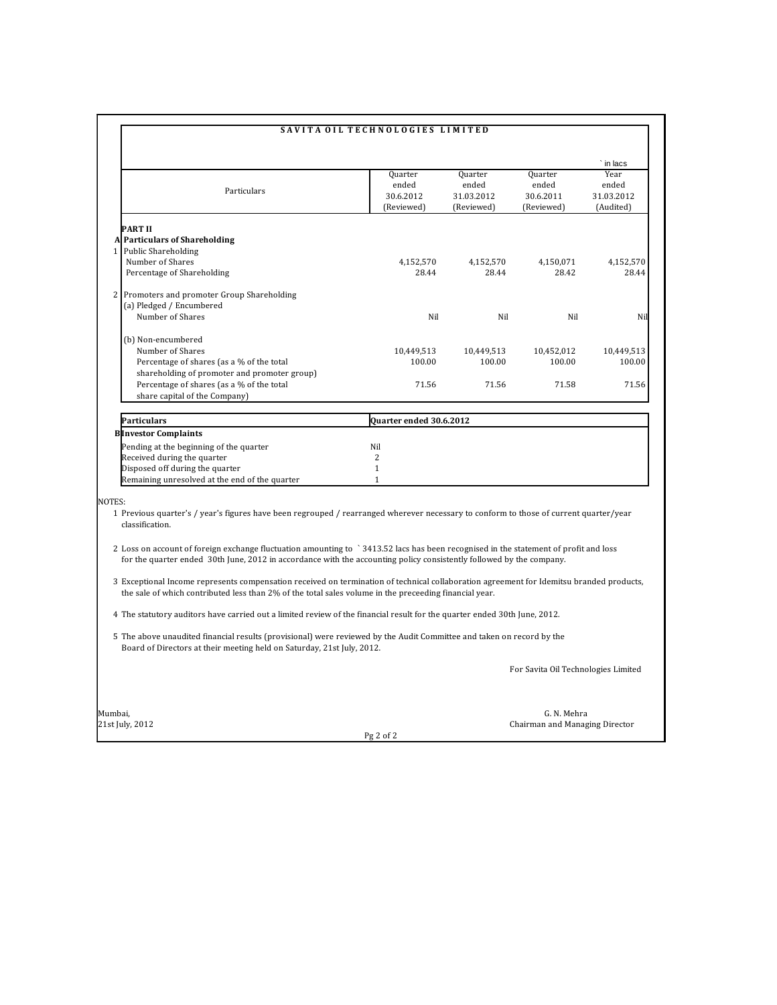|         |                                                                                                                                                                                                                                                              | SAVITA OIL TECHNOLOGIES LIMITED             |                                              |                                             |                                          |  |  |  |
|---------|--------------------------------------------------------------------------------------------------------------------------------------------------------------------------------------------------------------------------------------------------------------|---------------------------------------------|----------------------------------------------|---------------------------------------------|------------------------------------------|--|--|--|
|         |                                                                                                                                                                                                                                                              |                                             |                                              |                                             | in lacs                                  |  |  |  |
|         | Particulars                                                                                                                                                                                                                                                  | Quarter<br>ended<br>30.6.2012<br>(Reviewed) | Quarter<br>ended<br>31.03.2012<br>(Reviewed) | Quarter<br>ended<br>30.6.2011<br>(Reviewed) | Year<br>ended<br>31.03.2012<br>(Audited) |  |  |  |
|         | <b>PART II</b>                                                                                                                                                                                                                                               |                                             |                                              |                                             |                                          |  |  |  |
|         | A Particulars of Shareholding                                                                                                                                                                                                                                |                                             |                                              |                                             |                                          |  |  |  |
|         | 1 Public Shareholding                                                                                                                                                                                                                                        |                                             |                                              |                                             |                                          |  |  |  |
|         | Number of Shares                                                                                                                                                                                                                                             | 4,152,570                                   | 4,152,570                                    | 4,150,071                                   | 4,152,570                                |  |  |  |
|         | Percentage of Shareholding                                                                                                                                                                                                                                   | 28.44                                       | 28.44                                        | 28.42                                       | 28.44                                    |  |  |  |
|         | 2 Promoters and promoter Group Shareholding<br>(a) Pledged / Encumbered                                                                                                                                                                                      |                                             |                                              |                                             |                                          |  |  |  |
|         | Number of Shares                                                                                                                                                                                                                                             | Nil                                         | Nil                                          | Nil                                         | Nil                                      |  |  |  |
|         |                                                                                                                                                                                                                                                              |                                             |                                              |                                             |                                          |  |  |  |
|         | (b) Non-encumbered                                                                                                                                                                                                                                           |                                             |                                              |                                             |                                          |  |  |  |
|         | Number of Shares                                                                                                                                                                                                                                             | 10,449,513                                  | 10,449,513                                   | 10,452,012                                  | 10,449,513                               |  |  |  |
|         | Percentage of shares (as a % of the total                                                                                                                                                                                                                    | 100.00                                      | 100.00                                       | 100.00                                      | 100.00                                   |  |  |  |
|         | shareholding of promoter and promoter group)                                                                                                                                                                                                                 |                                             |                                              |                                             |                                          |  |  |  |
|         | Percentage of shares (as a % of the total                                                                                                                                                                                                                    | 71.56                                       | 71.56                                        | 71.58                                       | 71.56                                    |  |  |  |
|         | share capital of the Company)                                                                                                                                                                                                                                |                                             |                                              |                                             |                                          |  |  |  |
|         | Particulars<br>Quarter ended 30.6.2012                                                                                                                                                                                                                       |                                             |                                              |                                             |                                          |  |  |  |
|         | <b>Blinvestor Complaints</b>                                                                                                                                                                                                                                 |                                             |                                              |                                             |                                          |  |  |  |
|         | Pending at the beginning of the quarter                                                                                                                                                                                                                      | Nil                                         |                                              |                                             |                                          |  |  |  |
|         | Received during the quarter                                                                                                                                                                                                                                  | $\overline{c}$                              |                                              |                                             |                                          |  |  |  |
|         | Disposed off during the quarter                                                                                                                                                                                                                              | $\mathbf{1}$                                |                                              |                                             |                                          |  |  |  |
|         | Remaining unresolved at the end of the quarter                                                                                                                                                                                                               | $\mathbf{1}$                                |                                              |                                             |                                          |  |  |  |
| NOTES:  |                                                                                                                                                                                                                                                              |                                             |                                              |                                             |                                          |  |  |  |
|         | 1 Previous quarter's / year's figures have been regrouped / rearranged wherever necessary to conform to those of current quarter/year<br>classification.                                                                                                     |                                             |                                              |                                             |                                          |  |  |  |
|         | 2 Loss on account of foreign exchange fluctuation amounting to `3413.52 lacs has been recognised in the statement of profit and loss<br>for the quarter ended 30th June, 2012 in accordance with the accounting policy consistently followed by the company. |                                             |                                              |                                             |                                          |  |  |  |
|         | 3 Exceptional Income represents compensation received on termination of technical collaboration agreement for Idemitsu branded products,<br>the sale of which contributed less than 2% of the total sales volume in the preceeding financial year.           |                                             |                                              |                                             |                                          |  |  |  |
|         | 4 The statutory auditors have carried out a limited review of the financial result for the quarter ended 30th June, 2012.                                                                                                                                    |                                             |                                              |                                             |                                          |  |  |  |
|         | 5 The above unaudited financial results (provisional) were reviewed by the Audit Committee and taken on record by the<br>Board of Directors at their meeting held on Saturday, 21st July, 2012.                                                              |                                             |                                              |                                             |                                          |  |  |  |
|         |                                                                                                                                                                                                                                                              |                                             |                                              | For Savita Oil Technologies Limited         |                                          |  |  |  |
| Mumbai, |                                                                                                                                                                                                                                                              |                                             |                                              | G. N. Mehra                                 |                                          |  |  |  |
|         | 21st July, 2012                                                                                                                                                                                                                                              |                                             |                                              | Chairman and Managing Director              |                                          |  |  |  |
|         |                                                                                                                                                                                                                                                              | $Pg2$ of $2$                                |                                              |                                             |                                          |  |  |  |